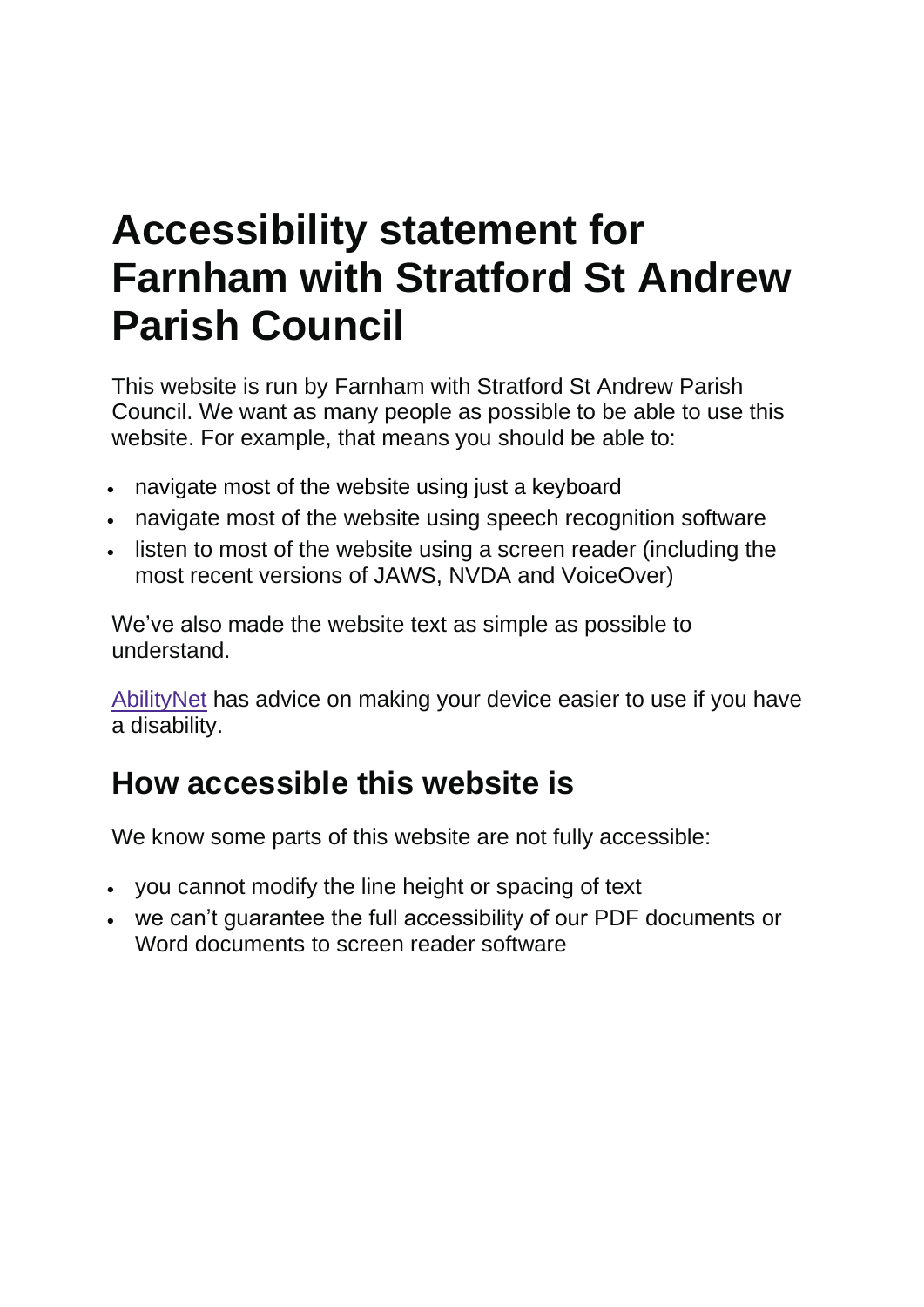# **Accessibility statement for Farnham with Stratford St Andrew Parish Council**

This website is run by Farnham with Stratford St Andrew Parish Council. We want as many people as possible to be able to use this website. For example, that means you should be able to:

- navigate most of the website using just a keyboard
- navigate most of the website using speech recognition software
- listen to most of the website using a screen reader (including the most recent versions of JAWS, NVDA and VoiceOver)

We've also made the website text as simple as possible to understand.

[AbilityNet](https://mcmw.abilitynet.org.uk/) has advice on making your device easier to use if you have a disability.

#### **How accessible this website is**

We know some parts of this website are not fully accessible:

- you cannot modify the line height or spacing of text
- we can't guarantee the full accessibility of our PDF documents or Word documents to screen reader software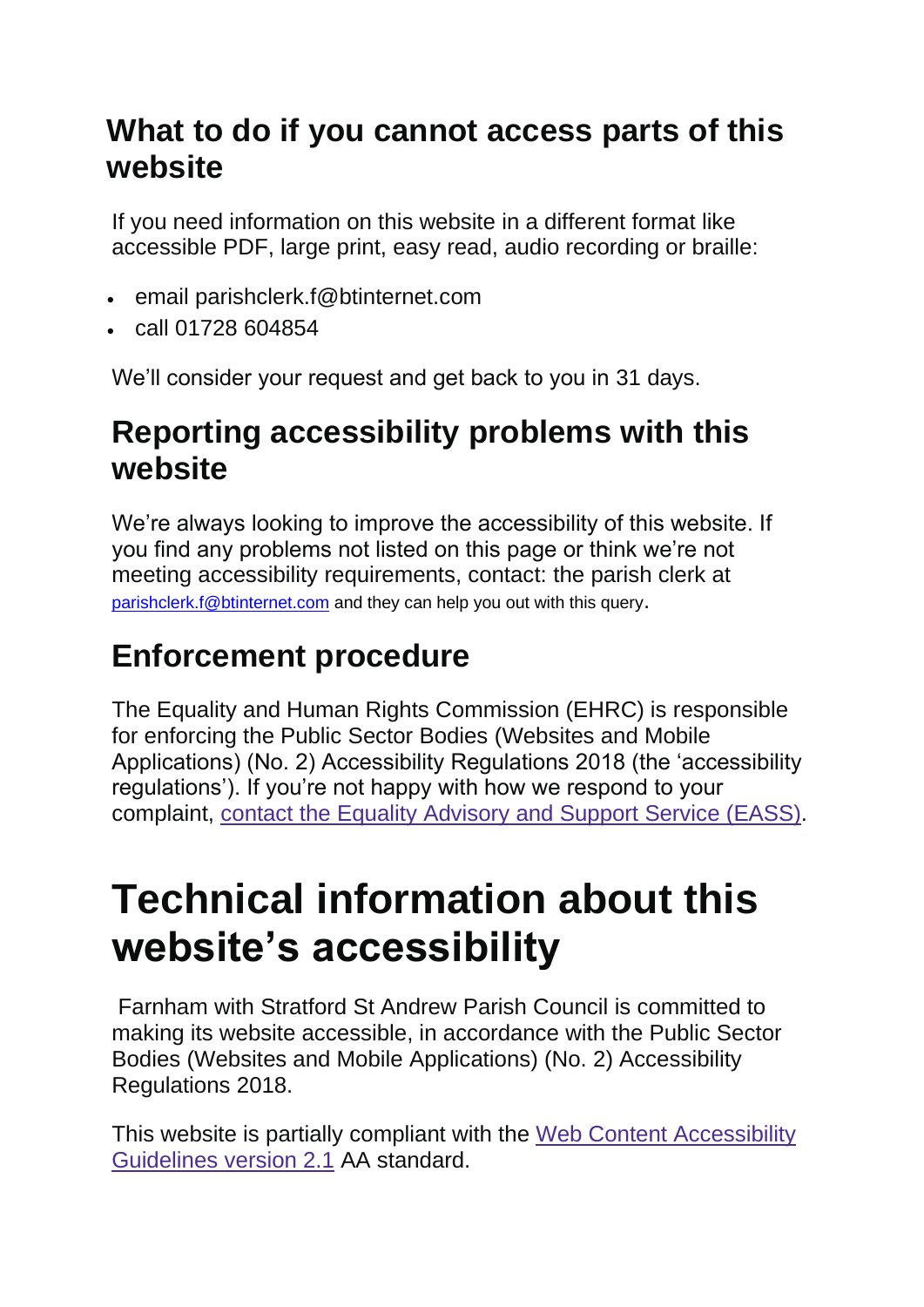#### **What to do if you cannot access parts of this website**

If you need information on this website in a different format like accessible PDF, large print, easy read, audio recording or braille:

- email parishclerk.f@btinternet.com
- call 01728 604854

We'll consider your request and get back to you in 31 days.

#### **Reporting accessibility problems with this website**

We're always looking to improve the accessibility of this website. If you find any problems not listed on this page or think we're not meeting accessibility requirements, contact: the parish clerk at [parishclerk.f@btinternet.com](mailto:parishclerk.f@btinternet.com) and they can help you out with this query.

### **Enforcement procedure**

The Equality and Human Rights Commission (EHRC) is responsible for enforcing the Public Sector Bodies (Websites and Mobile Applications) (No. 2) Accessibility Regulations 2018 (the 'accessibility regulations'). If you're not happy with how we respond to your complaint, contact the Equality [Advisory](https://www.equalityadvisoryservice.com/) and Support Service (EASS).

## **Technical information about this website's accessibility**

Farnham with Stratford St Andrew Parish Council is committed to making its website accessible, in accordance with the Public Sector Bodies (Websites and Mobile Applications) (No. 2) Accessibility Regulations 2018.

This website is partially compliant with the Web Content [Accessibility](https://www.w3.org/TR/WCAG21/) [Guidelines](https://www.w3.org/TR/WCAG21/) version 2.1 AA standard.